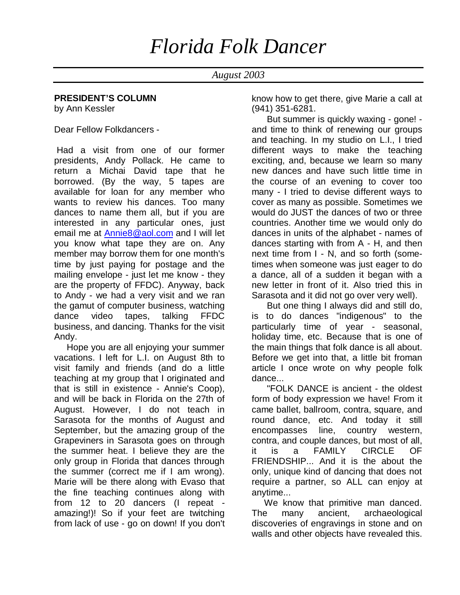# *Florida Folk Dancer*

### *August 2003*

### **PRESIDENT'S COLUMN**

by Ann Kessler

Dear Fellow Folkdancers -

 Had a visit from one of our former presidents, Andy Pollack. He came to return a Michai David tape that he borrowed. (By the way, 5 tapes are available for loan for any member who wants to review his dances. Too many dances to name them all, but if you are interested in any particular ones, just email me at Annie8@aol.com and I will let you know what tape they are on. Any member may borrow them for one month's time by just paying for postage and the mailing envelope - just let me know - they are the property of FFDC). Anyway, back to Andy - we had a very visit and we ran the gamut of computer business, watching dance video tapes, talking FFDC business, and dancing. Thanks for the visit Andy.

 Hope you are all enjoying your summer vacations. I left for L.I. on August 8th to visit family and friends (and do a little teaching at my group that I originated and that is still in existence - Annie's Coop), and will be back in Florida on the 27th of August. However, I do not teach in Sarasota for the months of August and September, but the amazing group of the Grapeviners in Sarasota goes on through the summer heat. I believe they are the only group in Florida that dances through the summer (correct me if I am wrong). Marie will be there along with Evaso that the fine teaching continues along with from 12 to 20 dancers (I repeat amazing!)! So if your feet are twitching from lack of use - go on down! If you don't know how to get there, give Marie a call at (941) 351-6281.

 But summer is quickly waxing - gone! and time to think of renewing our groups and teaching. In my studio on L.I., I tried different ways to make the teaching exciting, and, because we learn so many new dances and have such little time in the course of an evening to cover too many - I tried to devise different ways to cover as many as possible. Sometimes we would do JUST the dances of two or three countries. Another time we would only do dances in units of the alphabet - names of dances starting with from A - H, and then next time from I - N, and so forth (sometimes when someone was just eager to do a dance, all of a sudden it began with a new letter in front of it. Also tried this in Sarasota and it did not go over very well).

 But one thing I always did and still do, is to do dances "indigenous" to the particularly time of year - seasonal, holiday time, etc. Because that is one of the main things that folk dance is all about. Before we get into that, a little bit froman article I once wrote on why people folk dance...

 "FOLK DANCE is ancient - the oldest form of body expression we have! From it came ballet, ballroom, contra, square, and round dance, etc. And today it still encompasses line, country western, contra, and couple dances, but most of all, it is a FAMILY CIRCLE OF FRIENDSHIP... And it is the about the only, unique kind of dancing that does not require a partner, so ALL can enjoy at anytime...

 We know that primitive man danced. The many ancient, archaeological discoveries of engravings in stone and on walls and other objects have revealed this.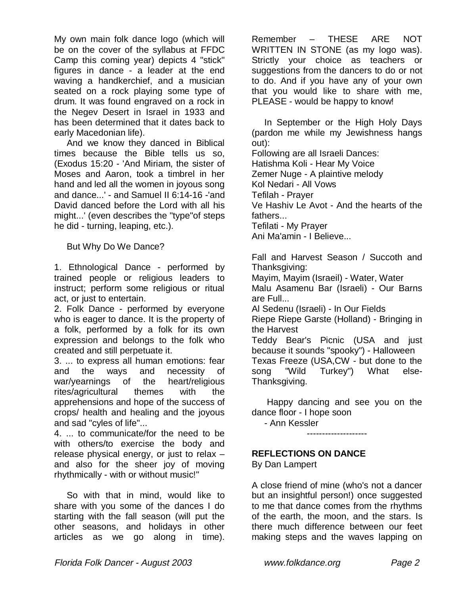My own main folk dance logo (which will be on the cover of the syllabus at FFDC Camp this coming year) depicts 4 "stick" figures in dance - a leader at the end waving a handkerchief, and a musician seated on a rock playing some type of drum. It was found engraved on a rock in the Negev Desert in Israel in 1933 and has been determined that it dates back to early Macedonian life).

 And we know they danced in Biblical times because the Bible tells us so, (Exodus 15:20 - 'And Miriam, the sister of Moses and Aaron, took a timbrel in her hand and led all the women in joyous song and dance...' - and Samuel II 6:14-16 -'and David danced before the Lord with all his might...' (even describes the "type"of steps he did - turning, leaping, etc.).

But Why Do We Dance?

1. Ethnological Dance - performed by trained people or religious leaders to instruct; perform some religious or ritual act, or just to entertain.

2. Folk Dance - performed by everyone who is eager to dance. It is the property of a folk, performed by a folk for its own expression and belongs to the folk who created and still perpetuate it.

3. ... to express all human emotions: fear and the ways and necessity of war/yearnings of the heart/religious rites/agricultural themes with the apprehensions and hope of the success of crops/ health and healing and the joyous and sad "cyles of life"...

4. ... to communicate/for the need to be with others/to exercise the body and release physical energy, or just to relax – and also for the sheer joy of moving rhythmically - with or without music!"

 So with that in mind, would like to share with you some of the dances I do starting with the fall season (will put the other seasons, and holidays in other articles as we go along in time).

Remember – THESE ARE NOT WRITTEN IN STONE (as my logo was). Strictly your choice as teachers or suggestions from the dancers to do or not to do. And if you have any of your own that you would like to share with me, PLEASE - would be happy to know!

 In September or the High Holy Days (pardon me while my Jewishness hangs out): Following are all Israeli Dances:

Hatishma Koli - Hear My Voice Zemer Nuge - A plaintive melody Kol Nedari - All Vows Tefilah - Prayer Ve Hashiv Le Avot - And the hearts of the fathers... Tefilati - My Prayer Ani Ma'amin - I Believe...

Fall and Harvest Season / Succoth and Thanksgiving: Mayim, Mayim (Israeil) - Water, Water Malu Asamenu Bar (Israeli) - Our Barns are Full... Al Sedenu (Israeli) - In Our Fields Riepe Riepe Garste (Holland) - Bringing in the Harvest Teddy Bear's Picnic (USA and just

because it sounds "spooky") - Halloween Texas Freeze (USA,CW - but done to the song "Wild Turkey") What else-Thanksgiving.

 Happy dancing and see you on the dance floor - I hope soon

--------------------

- Ann Kessler

## **REFLECTIONS ON DANCE**

By Dan Lampert

A close friend of mine (who's not a dancer but an insightful person!) once suggested to me that dance comes from the rhythms of the earth, the moon, and the stars. Is there much difference between our feet making steps and the waves lapping on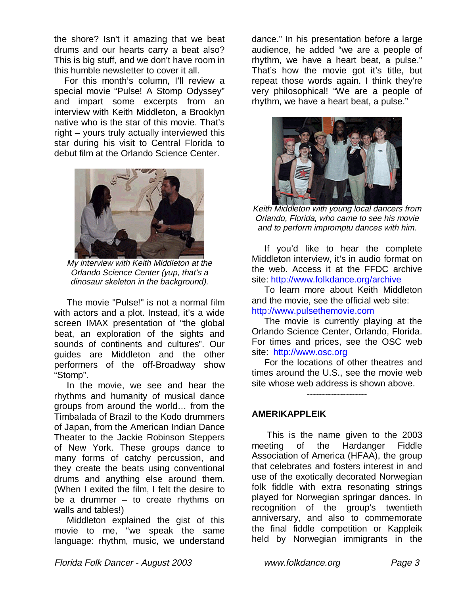the shore? Isn't it amazing that we beat drums and our hearts carry a beat also? This is big stuff, and we don't have room in this humble newsletter to cover it all.

 For this month's column, I'll review a special movie "Pulse! A Stomp Odyssey" and impart some excerpts from an interview with Keith Middleton, a Brooklyn native who is the star of this movie. That's right – yours truly actually interviewed this star during his visit to Central Florida to debut film at the Orlando Science Center.



My interview with Keith Middleton at the Orlando Science Center (yup, that's a dinosaur skeleton in the background).

 The movie "Pulse!" is not a normal film with actors and a plot. Instead, it's a wide screen IMAX presentation of "the global beat, an exploration of the sights and sounds of continents and cultures". Our guides are Middleton and the other performers of the off-Broadway show "Stomp".

 In the movie, we see and hear the rhythms and humanity of musical dance groups from around the world… from the Timbalada of Brazil to the Kodo drummers of Japan, from the American Indian Dance Theater to the Jackie Robinson Steppers of New York. These groups dance to many forms of catchy percussion, and they create the beats using conventional drums and anything else around them. (When I exited the film, I felt the desire to be a drummer – to create rhythms on walls and tables!)

 Middleton explained the gist of this movie to me, "we speak the same language: rhythm, music, we understand

dance." In his presentation before a large audience, he added "we are a people of rhythm, we have a heart beat, a pulse." That's how the movie got it's title, but repeat those words again. I think they're very philosophical! "We are a people of rhythm, we have a heart beat, a pulse."



Keith Middleton with young local dancers from Orlando, Florida, who came to see his movie and to perform impromptu dances with him.

 If you'd like to hear the complete Middleton interview, it's in audio format on the web. Access it at the FFDC archive site: http://www.folkdance.org/archive

 To learn more about Keith Middleton and the movie, see the official web site: http://www.pulsethemovie.com

 The movie is currently playing at the Orlando Science Center, Orlando, Florida. For times and prices, see the OSC web site: http://www.osc.org

 For the locations of other theatres and times around the U.S., see the movie web site whose web address is shown above.

--------------------

**AMERIKAPPLEIK**

 This is the name given to the 2003 meeting of the Hardanger Fiddle Association of America (HFAA), the group that celebrates and fosters interest in and use of the exotically decorated Norwegian folk fiddle with extra resonating strings played for Norwegian springar dances. In recognition of the group's twentieth anniversary, and also to commemorate the final fiddle competition or Kappleik held by Norwegian immigrants in the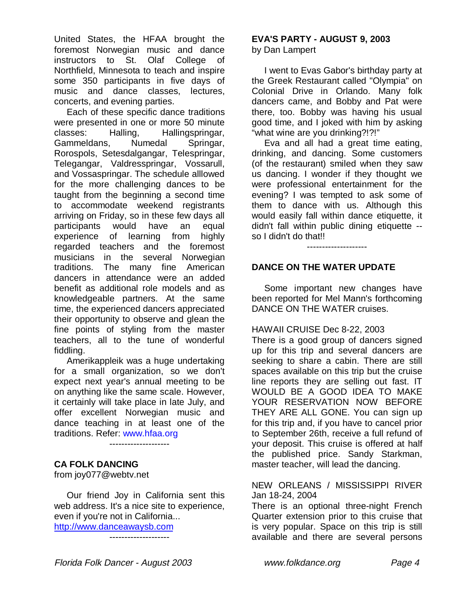United States, the HFAA brought the foremost Norwegian music and dance instructors to St. Olaf College of Northfield, Minnesota to teach and inspire some 350 participants in five days of music and dance classes, lectures, concerts, and evening parties.

 Each of these specific dance traditions were presented in one or more 50 minute classes: Halling, Hallingspringar, Gammeldans, Numedal Springar, Rorospols, Setesdalgangar, Telespringar, Telegangar, Valdresspringar, Vossarull, and Vossaspringar. The schedule alllowed for the more challenging dances to be taught from the beginning a second time to accommodate weekend registrants arriving on Friday, so in these few days all participants would have an equal experience of learning from highly regarded teachers and the foremost musicians in the several Norwegian traditions. The many fine American dancers in attendance were an added benefit as additional role models and as knowledgeable partners. At the same time, the experienced dancers appreciated their opportunity to observe and glean the fine points of styling from the master teachers, all to the tune of wonderful fiddling.

 Amerikappleik was a huge undertaking for a small organization, so we don't expect next year's annual meeting to be on anything like the same scale. However, it certainly will take place in late July, and offer excellent Norwegian music and dance teaching in at least one of the traditions. Refer: www.hfaa.org

--------------------

### **CA FOLK DANCING**

from joy077@webtv.net

 Our friend Joy in California sent this web address. It's a nice site to experience, even if you're not in California...

http://www.danceawaysb.com --------------------

# **EVA'S PARTY - AUGUST 9, 2003**

by Dan Lampert

 I went to Evas Gabor's birthday party at the Greek Restaurant called "Olympia" on Colonial Drive in Orlando. Many folk dancers came, and Bobby and Pat were there, too. Bobby was having his usual good time, and I joked with him by asking "what wine are you drinking?!?!"

 Eva and all had a great time eating, drinking, and dancing. Some customers (of the restaurant) smiled when they saw us dancing. I wonder if they thought we were professional entertainment for the evening? I was tempted to ask some of them to dance with us. Although this would easily fall within dance etiquette, it didn't fall within public dining etiquette - so I didn't do that!!

--------------------

### **DANCE ON THE WATER UPDATE**

 Some important new changes have been reported for Mel Mann's forthcoming DANCE ON THE WATER cruises.

### HAWAII CRUISE Dec 8-22, 2003

There is a good group of dancers signed up for this trip and several dancers are seeking to share a cabin. There are still spaces available on this trip but the cruise line reports they are selling out fast. IT WOULD BE A GOOD IDEA TO MAKE YOUR RESERVATION NOW BEFORE THEY ARE ALL GONE. You can sign up for this trip and, if you have to cancel prior to September 26th, receive a full refund of your deposit. This cruise is offered at half the published price. Sandy Starkman, master teacher, will lead the dancing.

### NEW ORLEANS / MISSISSIPPI RIVER Jan 18-24, 2004

There is an optional three-night French Quarter extension prior to this cruise that is very popular. Space on this trip is still available and there are several persons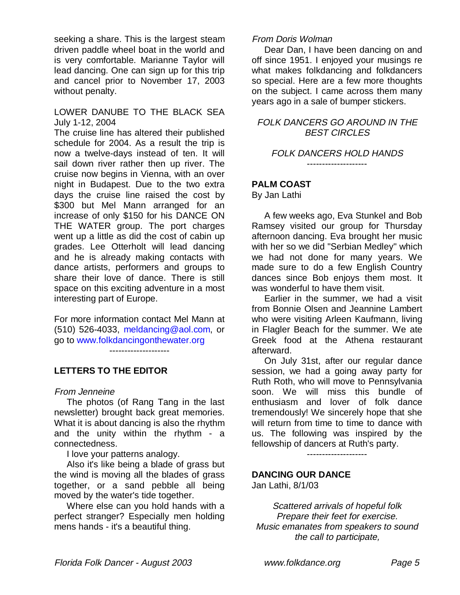seeking a share. This is the largest steam driven paddle wheel boat in the world and is very comfortable. Marianne Taylor will lead dancing. One can sign up for this trip and cancel prior to November 17, 2003 without penalty.

### LOWER DANUBE TO THE BLACK SEA July 1-12, 2004

The cruise line has altered their published schedule for 2004. As a result the trip is now a twelve-days instead of ten. It will sail down river rather then up river. The cruise now begins in Vienna, with an over night in Budapest. Due to the two extra days the cruise line raised the cost by \$300 but Mel Mann arranged for an increase of only \$150 for his DANCE ON THE WATER group. The port charges went up a little as did the cost of cabin up grades. Lee Otterholt will lead dancing and he is already making contacts with dance artists, performers and groups to share their love of dance. There is still space on this exciting adventure in a most interesting part of Europe.

For more information contact Mel Mann at (510) 526-4033, meldancing@aol.com, or go to www.folkdancingonthewater.org

--------------------

### **LETTERS TO THE EDITOR**

### From Jenneine

 The photos (of Rang Tang in the last newsletter) brought back great memories. What it is about dancing is also the rhythm and the unity within the rhythm - a connectedness.

I love your patterns analogy.

 Also it's like being a blade of grass but the wind is moving all the blades of grass together, or a sand pebble all being moved by the water's tide together.

 Where else can you hold hands with a perfect stranger? Especially men holding mens hands - it's a beautiful thing.

### From Doris Wolman

 Dear Dan, I have been dancing on and off since 1951. I enjoyed your musings re what makes folkdancing and folkdancers so special. Here are a few more thoughts on the subject. I came across them many years ago in a sale of bumper stickers.

### FOLK DANCERS GO AROUND IN THE BEST CIRCLES

#### FOLK DANCERS HOLD HANDS --------------------

### **PALM COAST**

By Jan Lathi

 A few weeks ago, Eva Stunkel and Bob Ramsey visited our group for Thursday afternoon dancing. Eva brought her music with her so we did "Serbian Medley" which we had not done for many years. We made sure to do a few English Country dances since Bob enjoys them most. It was wonderful to have them visit.

 Earlier in the summer, we had a visit from Bonnie Olsen and Jeannine Lambert who were visiting Arleen Kaufmann, living in Flagler Beach for the summer. We ate Greek food at the Athena restaurant afterward.

 On July 31st, after our regular dance session, we had a going away party for Ruth Roth, who will move to Pennsylvania soon. We will miss this bundle of enthusiasm and lover of folk dance tremendously! We sincerely hope that she will return from time to time to dance with us. The following was inspired by the fellowship of dancers at Ruth's party.

--------------------

### **DANCING OUR DANCE**

Jan Lathi, 8/1/03

Scattered arrivals of hopeful folk Prepare their feet for exercise. Music emanates from speakers to sound the call to participate,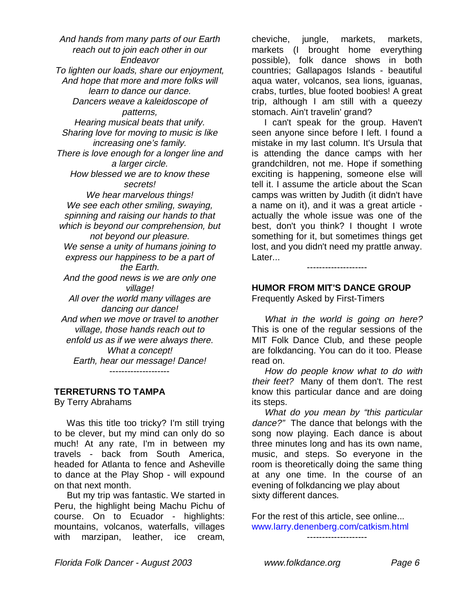And hands from many parts of our Earth reach out to join each other in our Endeavor To lighten our loads, share our enjoyment, And hope that more and more folks will learn to dance our dance. Dancers weave a kaleidoscope of patterns, Hearing musical beats that unify. Sharing love for moving to music is like increasing one's family. There is love enough for a longer line and a larger circle. How blessed we are to know these secrets! We hear marvelous things! We see each other smiling, swaying, spinning and raising our hands to that which is beyond our comprehension, but not beyond our pleasure. We sense a unity of humans joining to express our happiness to be a part of the Earth. And the good news is we are only one village! All over the world many villages are dancing our dance! And when we move or travel to another village, those hands reach out to enfold us as if we were always there. What a concept! Earth, hear our message! Dance! --------------------

### **TERRETURNS TO TAMPA**

By Terry Abrahams

 Was this title too tricky? I'm still trying to be clever, but my mind can only do so much! At any rate, I'm in between my travels - back from South America, headed for Atlanta to fence and Asheville to dance at the Play Shop - will expound on that next month.

 But my trip was fantastic. We started in Peru, the highlight being Machu Pichu of course. On to Ecuador - highlights: mountains, volcanos, waterfalls, villages with marzipan, leather, ice cream,

cheviche, jungle, markets, markets, markets (I brought home everything possible), folk dance shows in both countries; Gallapagos Islands - beautiful aqua water, volcanos, sea lions, iguanas, crabs, turtles, blue footed boobies! A great trip, although I am still with a queezy stomach. Ain't travelin' grand?

 I can't speak for the group. Haven't seen anyone since before I left. I found a mistake in my last column. It's Ursula that is attending the dance camps with her grandchildren, not me. Hope if something exciting is happening, someone else will tell it. I assume the article about the Scan camps was written by Judith (it didn't have a name on it), and it was a great article actually the whole issue was one of the best, don't you think? I thought I wrote something for it, but sometimes things get lost, and you didn't need my prattle anway. Later...

### **HUMOR FROM MIT'S DANCE GROUP** Frequently Asked by First-Timers

--------------------

What in the world is going on here? This is one of the regular sessions of the MIT Folk Dance Club, and these people are folkdancing. You can do it too. Please read on.

 How do people know what to do with their feet? Many of them don't. The rest know this particular dance and are doing its steps.

 What do you mean by "this particular dance?" The dance that belongs with the song now playing. Each dance is about three minutes long and has its own name, music, and steps. So everyone in the room is theoretically doing the same thing at any one time. In the course of an evening of folkdancing we play about sixty different dances.

For the rest of this article, see online... www.larry.denenberg.com/catkism.html

--------------------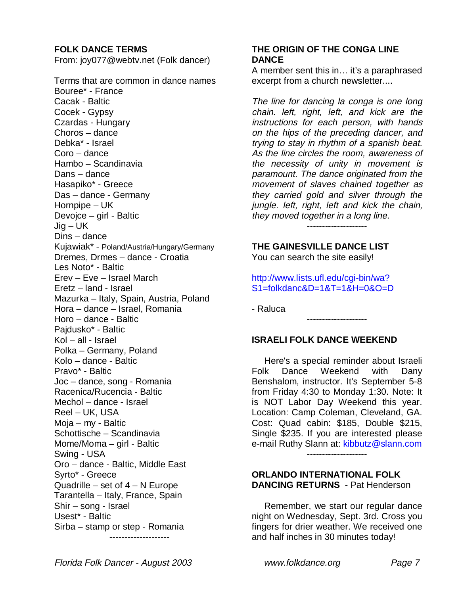### **FOLK DANCE TERMS**

From: joy077@webtv.net (Folk dancer)

Terms that are common in dance names Bouree\* - France Cacak - Baltic Cocek - Gypsy Czardas - Hungary Choros – dance Debka\* - Israel Coro – dance Hambo – Scandinavia Dans – dance Hasapiko\* - Greece Das – dance - Germany Hornpipe – UK Devojce – girl - Baltic Jig – UK Dins – dance Kujawiak\* - Poland/Austria/Hungary/Germany Dremes, Drmes – dance - Croatia Les Noto\* - Baltic Erev – Eve – Israel March Eretz – land - Israel Mazurka – Italy, Spain, Austria, Poland Hora – dance – Israel, Romania Horo – dance - Baltic Pajdusko\* - Baltic Kol – all - Israel Polka – Germany, Poland Kolo – dance - Baltic Pravo\* - Baltic Joc – dance, song - Romania Racenica/Rucencia - Baltic Mechol – dance - Israel Reel – UK, USA Moja – my - Baltic Schottische – Scandinavia Mome/Moma – girl - Baltic Swing - USA Oro – dance - Baltic, Middle East Syrto\* - Greece Quadrille – set of  $4 - N$  Europe Tarantella – Italy, France, Spain Shir – song - Israel Usest\* - Baltic Sirba – stamp or step - Romania --------------------

### **THE ORIGIN OF THE CONGA LINE DANCE**

A member sent this in… it's a paraphrased excerpt from a church newsletter....

The line for dancing la conga is one long chain. left, right, left, and kick are the instructions for each person, with hands on the hips of the preceding dancer, and trying to stay in rhythm of a spanish beat. As the line circles the room, awareness of the necessity of unity in movement is paramount. The dance originated from the movement of slaves chained together as they carried gold and silver through the jungle. left, right, left and kick the chain, they moved together in a long line.

--------------------

**THE GAINESVILLE DANCE LIST** You can search the site easily!

http://www.lists.ufl.edu/cgi-bin/wa? S1=folkdanc&D=1&T=1&H=0&O=D

- Raluca

### **ISRAELI FOLK DANCE WEEKEND**

--------------------

 Here's a special reminder about Israeli Folk Dance Weekend with Dany Benshalom, instructor. It's September 5-8 from Friday 4:30 to Monday 1:30. Note: It is NOT Labor Day Weekend this year. Location: Camp Coleman, Cleveland, GA. Cost: Quad cabin: \$185, Double \$215, Single \$235. If you are interested please e-mail Ruthy Slann at: kibbutz@slann.com

--------------------

### **ORLANDO INTERNATIONAL FOLK DANCING RETURNS** - Pat Henderson

 Remember, we start our regular dance night on Wednesday, Sept. 3rd. Cross you fingers for drier weather. We received one and half inches in 30 minutes today!